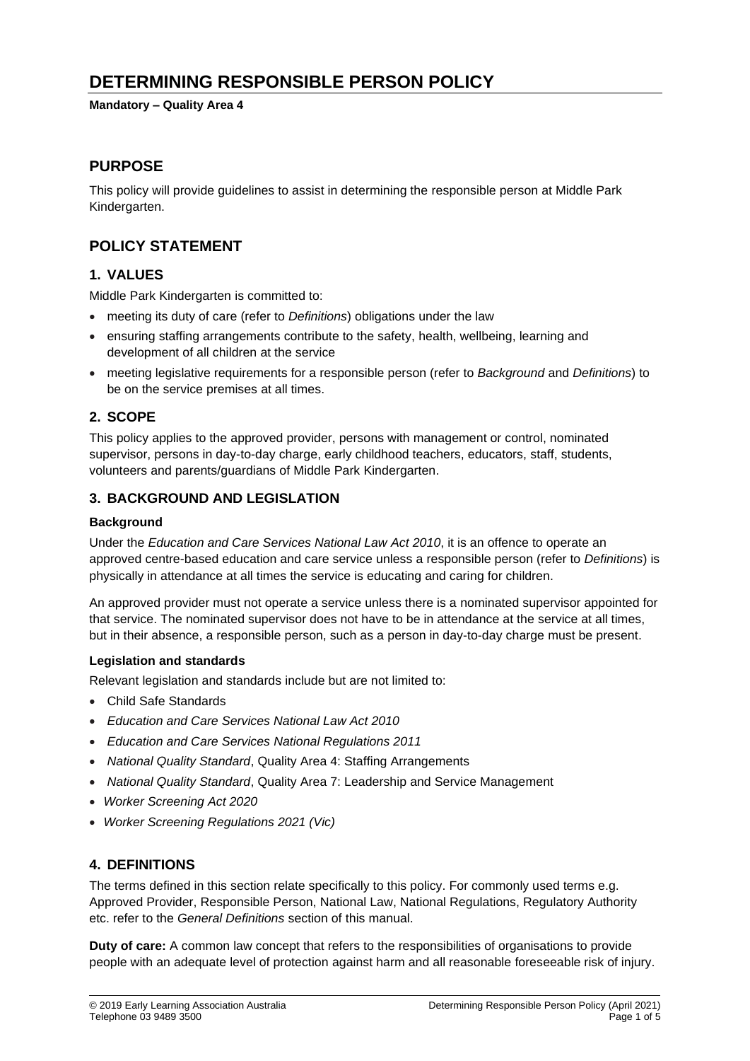# **DETERMINING RESPONSIBLE PERSON POLICY**

**Mandatory – Quality Area 4**

### **PURPOSE**

This policy will provide guidelines to assist in determining the responsible person at Middle Park Kindergarten.

# **POLICY STATEMENT**

### **1. VALUES**

Middle Park Kindergarten is committed to:

- meeting its duty of care (refer to *Definitions*) obligations under the law
- ensuring staffing arrangements contribute to the safety, health, wellbeing, learning and development of all children at the service
- meeting legislative requirements for a responsible person (refer to *Background* and *Definitions*) to be on the service premises at all times.

### **2. SCOPE**

This policy applies to the approved provider, persons with management or control, nominated supervisor, persons in day-to-day charge, early childhood teachers, educators, staff, students, volunteers and parents/guardians of Middle Park Kindergarten.

### **3. BACKGROUND AND LEGISLATION**

### **Background**

Under the *Education and Care Services National Law Act 2010*, it is an offence to operate an approved centre-based education and care service unless a responsible person (refer to *Definitions*) is physically in attendance at all times the service is educating and caring for children.

An approved provider must not operate a service unless there is a nominated supervisor appointed for that service. The nominated supervisor does not have to be in attendance at the service at all times, but in their absence, a responsible person, such as a person in day-to-day charge must be present.

#### **Legislation and standards**

Relevant legislation and standards include but are not limited to:

- Child Safe Standards
- *Education and Care Services National Law Act 2010*
- *Education and Care Services National Regulations 2011*
- *National Quality Standard*, Quality Area 4: Staffing Arrangements
- *National Quality Standard*, Quality Area 7: Leadership and Service Management
- *Worker Screening Act 2020*
- *Worker Screening Regulations 2021 (Vic)*

# **4. DEFINITIONS**

The terms defined in this section relate specifically to this policy. For commonly used terms e.g. Approved Provider, Responsible Person, National Law, National Regulations, Regulatory Authority etc. refer to the *General Definitions* section of this manual.

**Duty of care:** A common law concept that refers to the responsibilities of organisations to provide people with an adequate level of protection against harm and all reasonable foreseeable risk of injury.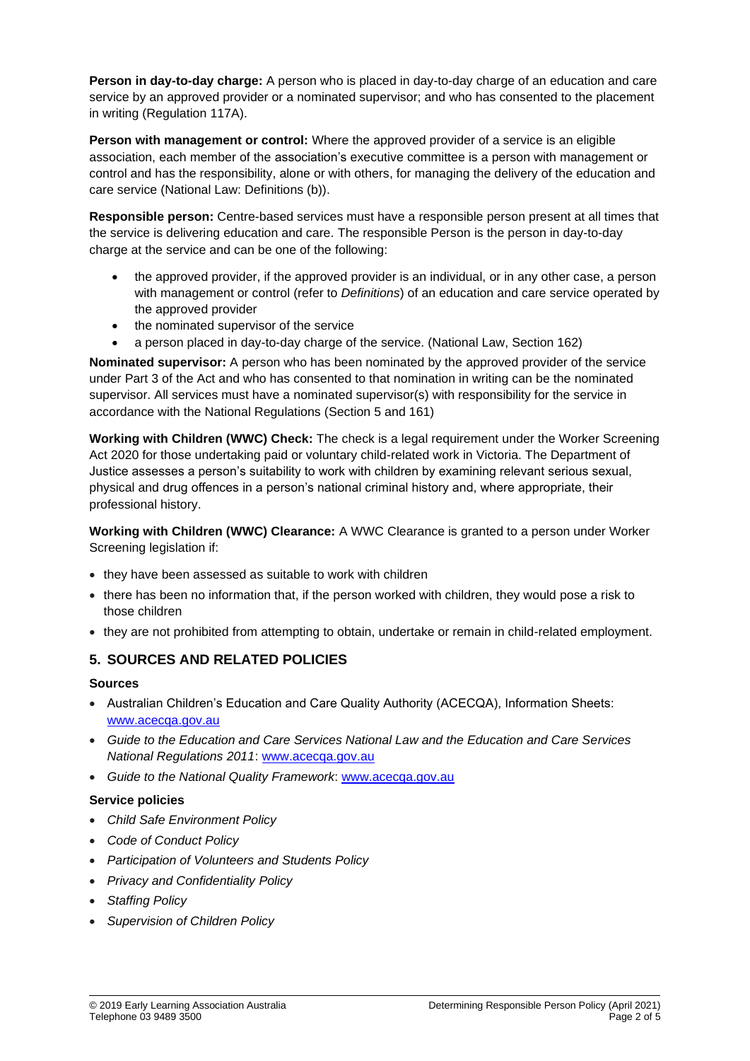**Person in day-to-day charge:** A person who is placed in day-to-day charge of an education and care service by an approved provider or a nominated supervisor; and who has consented to the placement in writing (Regulation 117A).

**Person with management or control:** Where the approved provider of a service is an eligible association, each member of the association's executive committee is a person with management or control and has the responsibility, alone or with others, for managing the delivery of the education and care service (National Law: Definitions (b)).

**Responsible person:** Centre-based services must have a responsible person present at all times that the service is delivering education and care. The responsible Person is the person in day-to-day charge at the service and can be one of the following:

- the approved provider, if the approved provider is an individual, or in any other case, a person with management or control (refer to *Definitions*) of an education and care service operated by the approved provider
- the nominated supervisor of the service
- a person placed in day-to-day charge of the service. (National Law, Section 162)

**Nominated supervisor:** A person who has been nominated by the approved provider of the service under Part 3 of the Act and who has consented to that nomination in writing can be the nominated supervisor. All services must have a nominated supervisor(s) with responsibility for the service in accordance with the National Regulations (Section 5 and 161)

**Working with Children (WWC) Check:** The check is a legal requirement under the Worker Screening Act 2020 for those undertaking paid or voluntary child-related work in Victoria. The Department of Justice assesses a person's suitability to work with children by examining relevant serious sexual, physical and drug offences in a person's national criminal history and, where appropriate, their professional history.

**Working with Children (WWC) Clearance:** A WWC Clearance is granted to a person under Worker Screening legislation if:

- they have been assessed as suitable to work with children
- there has been no information that, if the person worked with children, they would pose a risk to those children
- they are not prohibited from attempting to obtain, undertake or remain in child-related employment.

### **5. SOURCES AND RELATED POLICIES**

#### **Sources**

- Australian Children's Education and Care Quality Authority (ACECQA), Information Sheets: [www.acecqa.gov.au](http://www.acecqa.gov.au/)
- *Guide to the Education and Care Services National Law and the Education and Care Services National Regulations 2011*: [www.acecqa.gov.au](http://www.acecqa.gov.au/)
- *Guide to the National Quality Framework*: [www.acecqa.gov.au](http://www.acecqa.gov.au/)

#### **Service policies**

- *Child Safe Environment Policy*
- *Code of Conduct Policy*
- *Participation of Volunteers and Students Policy*
- *Privacy and Confidentiality Policy*
- *Staffing Policy*
- *Supervision of Children Policy*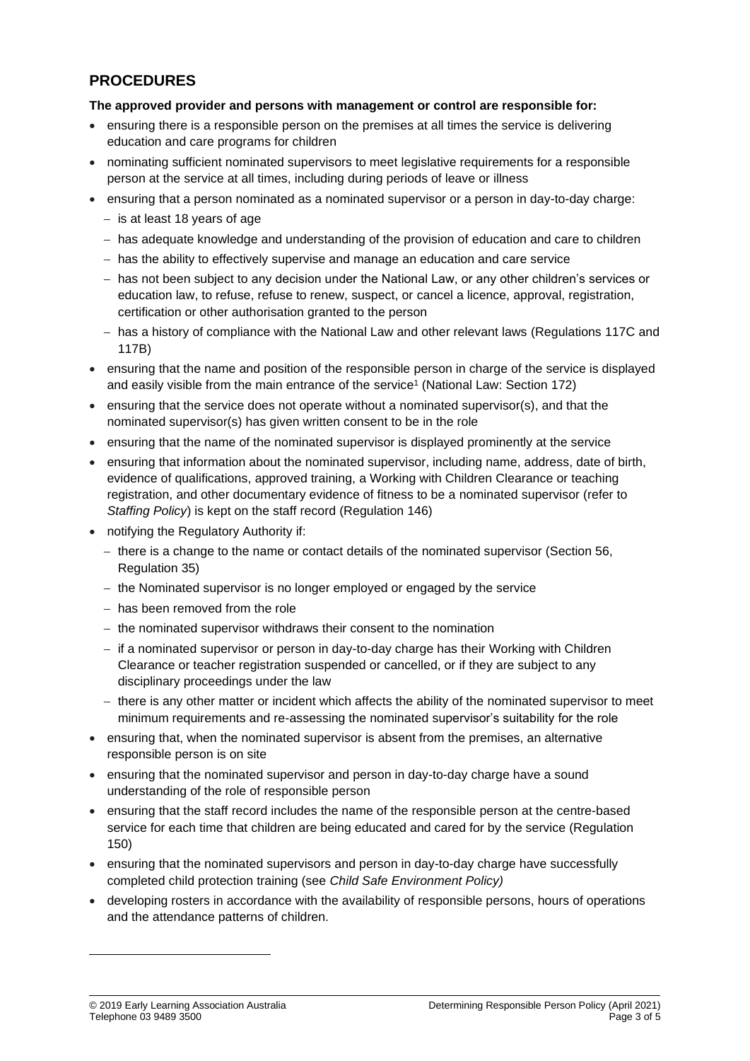# **PROCEDURES**

#### **The approved provider and persons with management or control are responsible for:**

- ensuring there is a responsible person on the premises at all times the service is delivering education and care programs for children
- nominating sufficient nominated supervisors to meet legislative requirements for a responsible person at the service at all times, including during periods of leave or illness
- ensuring that a person nominated as a nominated supervisor or a person in day-to-day charge:
	- − is at least 18 years of age
	- − has adequate knowledge and understanding of the provision of education and care to children
	- − has the ability to effectively supervise and manage an education and care service
	- − has not been subject to any decision under the National Law, or any other children's services or education law, to refuse, refuse to renew, suspect, or cancel a licence, approval, registration, certification or other authorisation granted to the person
	- − has a history of compliance with the National Law and other relevant laws (Regulations 117C and 117B)
- ensuring that the name and position of the responsible person in charge of the service is displayed and easily visible from the main entrance of the service<sup>1</sup> (National Law: Section 172)
- ensuring that the service does not operate without a nominated supervisor(s), and that the nominated supervisor(s) has given written consent to be in the role
- ensuring that the name of the nominated supervisor is displayed prominently at the service
- ensuring that information about the nominated supervisor, including name, address, date of birth, evidence of qualifications, approved training, a Working with Children Clearance or teaching registration, and other documentary evidence of fitness to be a nominated supervisor (refer to *Staffing Policy*) is kept on the staff record (Regulation 146)
- notifying the Regulatory Authority if:
	- − there is a change to the name or contact details of the nominated supervisor (Section 56, Regulation 35)
	- − the Nominated supervisor is no longer employed or engaged by the service
	- − has been removed from the role
	- − the nominated supervisor withdraws their consent to the nomination
	- − if a nominated supervisor or person in day-to-day charge has their Working with Children Clearance or teacher registration suspended or cancelled, or if they are subject to any disciplinary proceedings under the law
	- − there is any other matter or incident which affects the ability of the nominated supervisor to meet minimum requirements and re-assessing the nominated supervisor's suitability for the role
- ensuring that, when the nominated supervisor is absent from the premises, an alternative responsible person is on site
- ensuring that the nominated supervisor and person in day-to-day charge have a sound understanding of the role of responsible person
- ensuring that the staff record includes the name of the responsible person at the centre-based service for each time that children are being educated and cared for by the service (Regulation 150)
- ensuring that the nominated supervisors and person in day-to-day charge have successfully completed child protection training (see *Child Safe Environment Policy)*
- developing rosters in accordance with the availability of responsible persons, hours of operations and the attendance patterns of children.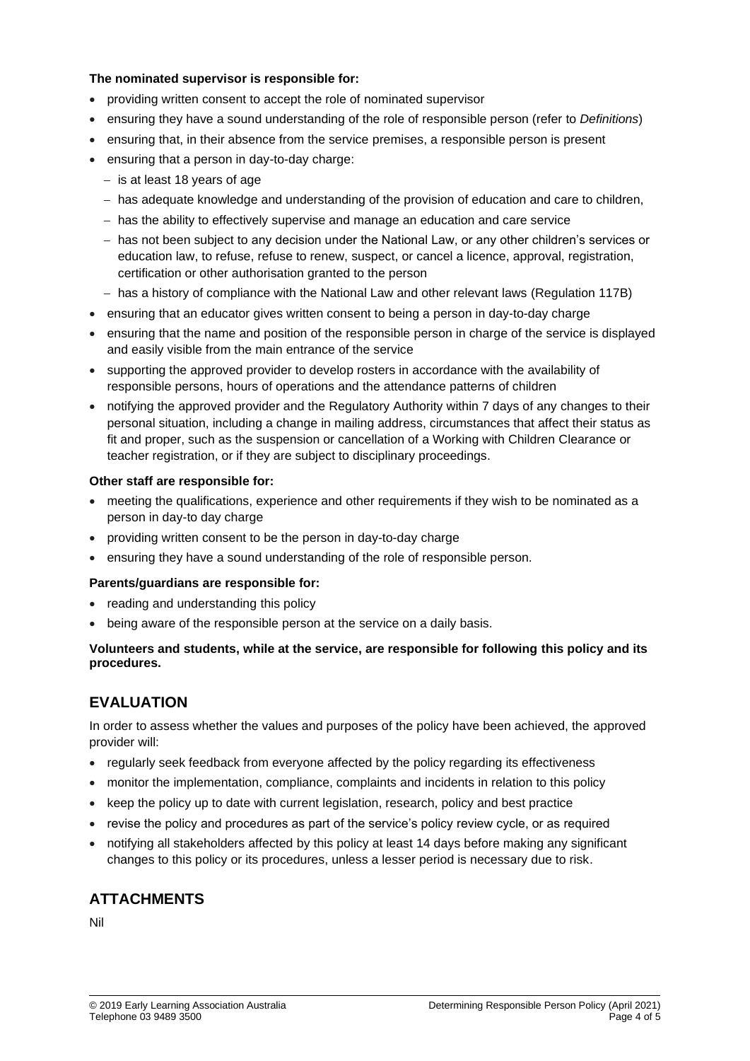#### **The nominated supervisor is responsible for:**

- providing written consent to accept the role of nominated supervisor
- ensuring they have a sound understanding of the role of responsible person (refer to *Definitions*)
- ensuring that, in their absence from the service premises, a responsible person is present
- ensuring that a person in day-to-day charge:
	- − is at least 18 years of age
	- − has adequate knowledge and understanding of the provision of education and care to children,
	- − has the ability to effectively supervise and manage an education and care service
	- − has not been subject to any decision under the National Law, or any other children's services or education law, to refuse, refuse to renew, suspect, or cancel a licence, approval, registration, certification or other authorisation granted to the person
	- − has a history of compliance with the National Law and other relevant laws (Regulation 117B)
- ensuring that an educator gives written consent to being a person in day-to-day charge
- ensuring that the name and position of the responsible person in charge of the service is displayed and easily visible from the main entrance of the service
- supporting the approved provider to develop rosters in accordance with the availability of responsible persons, hours of operations and the attendance patterns of children
- notifying the approved provider and the Regulatory Authority within 7 days of any changes to their personal situation, including a change in mailing address, circumstances that affect their status as fit and proper, such as the suspension or cancellation of a Working with Children Clearance or teacher registration, or if they are subject to disciplinary proceedings.

#### **Other staff are responsible for:**

- meeting the qualifications, experience and other requirements if they wish to be nominated as a person in day-to day charge
- providing written consent to be the person in day-to-day charge
- ensuring they have a sound understanding of the role of responsible person.

#### **Parents/guardians are responsible for:**

- reading and understanding this policy
- being aware of the responsible person at the service on a daily basis.

#### **Volunteers and students, while at the service, are responsible for following this policy and its procedures.**

# **EVALUATION**

In order to assess whether the values and purposes of the policy have been achieved, the approved provider will:

- regularly seek feedback from everyone affected by the policy regarding its effectiveness
- monitor the implementation, compliance, complaints and incidents in relation to this policy
- keep the policy up to date with current legislation, research, policy and best practice
- revise the policy and procedures as part of the service's policy review cycle, or as required
- notifying all stakeholders affected by this policy at least 14 days before making any significant changes to this policy or its procedures, unless a lesser period is necessary due to risk.

# **ATTACHMENTS**

Nil